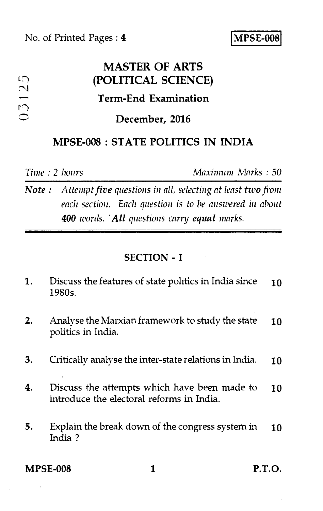No. of Printed Pages : **4 MPSE-008** 

## **MASTER OF ARTS**  03125 **(POLITICAL SCIENCE) Term-End Examination December, 2016 MPSE-008 : STATE POLITICS IN INDIA**

*Time : 2 hours Maximum Marks : 50* 

*Note : Attempt five questions in all, selecting at least two from each section. Each question is to be answered in about*  **400** *words.* All questions carry equal marks.

#### **SECTION - I**

| 1. | Discuss the features of state politics in India since<br>1980s.                           | 10 |
|----|-------------------------------------------------------------------------------------------|----|
| 2. | Analyse the Marxian framework to study the state<br>politics in India.                    | 10 |
| 3. | Critically analyse the inter-state relations in India.                                    | 10 |
| 4. | Discuss the attempts which have been made to<br>introduce the electoral reforms in India. | 10 |
| 5. | Explain the break down of the congress system in<br>India?                                | 10 |
|    |                                                                                           |    |

**MPSE-008 1 P.T.O.**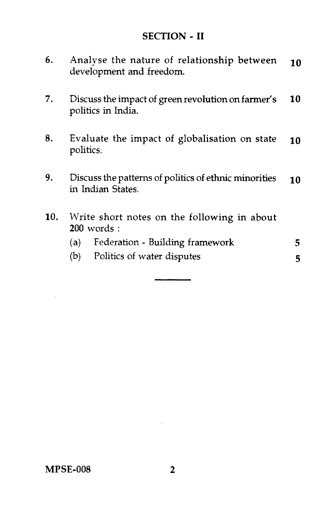### **SECTION - II**

| 6.  | Analyse the nature of relationship between<br>development and freedom.     | 10 |
|-----|----------------------------------------------------------------------------|----|
| 7.  | Discuss the impact of green revolution on farmer's<br>politics in India.   | 10 |
| 8.  | Evaluate the impact of globalisation on state<br>politics.                 | 10 |
| 9.  | Discuss the patterns of politics of ethnic minorities<br>in Indian States. | 10 |
| 10. | Write short notes on the following in about<br>$200$ words:                |    |
|     | Federation - Building framework<br>(a)                                     | 5  |
|     | Politics of water disputes<br>(b)                                          | 5  |

 $\sim 10^{-11}$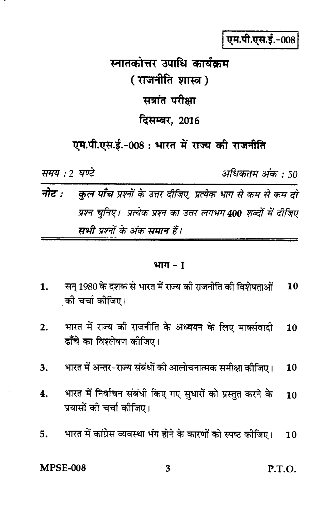एम.पी.एस.ई.-008

# स्नातकोत्तर उपाधि कार्यकम ( राजनीति शास्त्र ) सत्रांत परीक्षा दिसम्बर, 2016

### एम.पी.एस.ई.-008 : भारत में राज्य की राजनीति

समय : 2 घण्टे

अधिकतम अंक : 50

### नोट : कुल पाँच प्रश्नों के उत्तर दीजिए, प्रत्येक भाग से कम से कम दो प्रश्न चुनिए। प्रत्येक प्रश्न का उत्तर लगभग 400 शब्दों में दीजिए सभी प्रश्नों के अंक समान हैं।

#### भाग $-I$

- सन् 1980 के दशक से भारत में राज्य की राजनीति की विशेषताओं  $\mathbf{1}$ .  $10$ की चर्चा कीजिए।
- भारत में राज्य की राजनीति के अध्ययन के लिए मार्क्सवादी  $\overline{2}$ . 10 ढाँचे का विश्लेषण कोजिए।
- भारत में अन्तर-राज्य संबंधों की आलोचनात्मक समीक्षा कीजिए। 3. 10
- भारत में निर्वाचन संबंधी किए गए सुधारों को प्रस्तुत करने के 4.  $10$ प्रयासों की चर्चा कोजिए।
- भारत में कांग्रेस व्यवस्था भंग होने के कारणों को स्पष्ट कीजिए। 5.  $10$

**MPSE-008** 

3

 $P.T.O.$